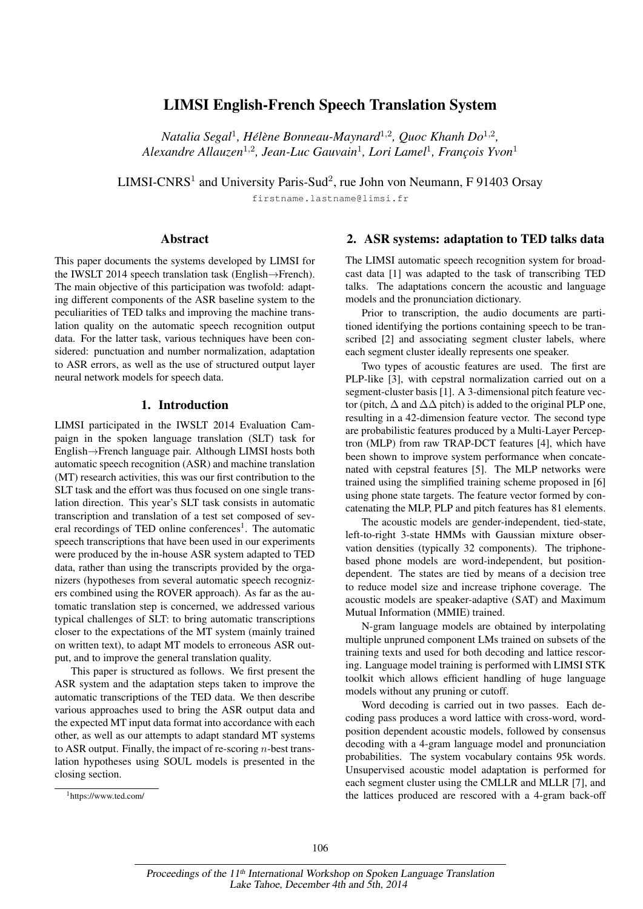# LIMSI English-French Speech Translation System

*Natalia Segal*<sup>1</sup> *, Hel´ ene Bonneau-Maynard `* 1,2 *, Quoc Khanh Do*<sup>1</sup>,<sup>2</sup> *, Alexandre Allauzen*<sup>1</sup>,<sup>2</sup> *, Jean-Luc Gauvain*<sup>1</sup> *, Lori Lamel*<sup>1</sup> *, Franc¸ois Yvon*<sup>1</sup>

LIMSI-CNRS<sup>1</sup> and University Paris-Sud<sup>2</sup>, rue John von Neumann, F 91403 Orsay

firstname.lastname@limsi.fr

### Abstract

This paper documents the systems developed by LIMSI for the IWSLT 2014 speech translation task (English→French). The main objective of this participation was twofold: adapting different components of the ASR baseline system to the peculiarities of TED talks and improving the machine translation quality on the automatic speech recognition output data. For the latter task, various techniques have been considered: punctuation and number normalization, adaptation to ASR errors, as well as the use of structured output layer neural network models for speech data.

# 1. Introduction

LIMSI participated in the IWSLT 2014 Evaluation Campaign in the spoken language translation (SLT) task for English→French language pair. Although LIMSI hosts both automatic speech recognition (ASR) and machine translation (MT) research activities, this was our first contribution to the SLT task and the effort was thus focused on one single translation direction. This year's SLT task consists in automatic transcription and translation of a test set composed of several recordings of TED online conferences<sup>1</sup>. The automatic speech transcriptions that have been used in our experiments were produced by the in-house ASR system adapted to TED data, rather than using the transcripts provided by the organizers (hypotheses from several automatic speech recognizers combined using the ROVER approach). As far as the automatic translation step is concerned, we addressed various typical challenges of SLT: to bring automatic transcriptions closer to the expectations of the MT system (mainly trained on written text), to adapt MT models to erroneous ASR output, and to improve the general translation quality.

This paper is structured as follows. We first present the ASR system and the adaptation steps taken to improve the automatic transcriptions of the TED data. We then describe various approaches used to bring the ASR output data and the expected MT input data format into accordance with each other, as well as our attempts to adapt standard MT systems to ASR output. Finally, the impact of re-scoring  $n$ -best translation hypotheses using SOUL models is presented in the closing section.

## 2. ASR systems: adaptation to TED talks data

The LIMSI automatic speech recognition system for broadcast data [1] was adapted to the task of transcribing TED talks. The adaptations concern the acoustic and language models and the pronunciation dictionary.

Prior to transcription, the audio documents are partitioned identifying the portions containing speech to be transcribed [2] and associating segment cluster labels, where each segment cluster ideally represents one speaker.

Two types of acoustic features are used. The first are PLP-like [3], with cepstral normalization carried out on a segment-cluster basis [1]. A 3-dimensional pitch feature vector (pitch,  $\Delta$  and  $\Delta\Delta$  pitch) is added to the original PLP one, resulting in a 42-dimension feature vector. The second type are probabilistic features produced by a Multi-Layer Perceptron (MLP) from raw TRAP-DCT features [4], which have been shown to improve system performance when concatenated with cepstral features [5]. The MLP networks were trained using the simplified training scheme proposed in [6] using phone state targets. The feature vector formed by concatenating the MLP, PLP and pitch features has 81 elements.

The acoustic models are gender-independent, tied-state, left-to-right 3-state HMMs with Gaussian mixture observation densities (typically 32 components). The triphonebased phone models are word-independent, but positiondependent. The states are tied by means of a decision tree to reduce model size and increase triphone coverage. The acoustic models are speaker-adaptive (SAT) and Maximum Mutual Information (MMIE) trained.

N-gram language models are obtained by interpolating multiple unpruned component LMs trained on subsets of the training texts and used for both decoding and lattice rescoring. Language model training is performed with LIMSI STK toolkit which allows efficient handling of huge language models without any pruning or cutoff.

Word decoding is carried out in two passes. Each decoding pass produces a word lattice with cross-word, wordposition dependent acoustic models, followed by consensus decoding with a 4-gram language model and pronunciation probabilities. The system vocabulary contains 95k words. Unsupervised acoustic model adaptation is performed for each segment cluster using the CMLLR and MLLR [7], and the lattices produced are rescored with a 4-gram back-off

<sup>1</sup>https://www.ted.com/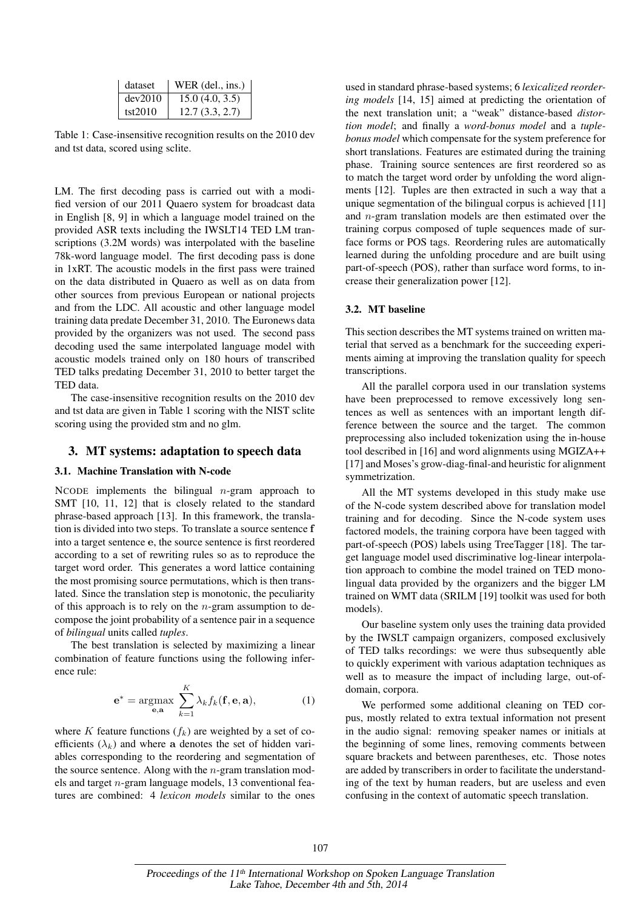| dataset | WER $(del., ins.)$ |
|---------|--------------------|
| dev2010 | 15.0(4.0, 3.5)     |
| tst2010 | 12.7(3.3, 2.7)     |

Table 1: Case-insensitive recognition results on the 2010 dev and tst data, scored using sclite.

LM. The first decoding pass is carried out with a modified version of our 2011 Quaero system for broadcast data in English [8, 9] in which a language model trained on the provided ASR texts including the IWSLT14 TED LM transcriptions (3.2M words) was interpolated with the baseline 78k-word language model. The first decoding pass is done in 1xRT. The acoustic models in the first pass were trained on the data distributed in Quaero as well as on data from other sources from previous European or national projects and from the LDC. All acoustic and other language model training data predate December 31, 2010. The Euronews data provided by the organizers was not used. The second pass decoding used the same interpolated language model with acoustic models trained only on 180 hours of transcribed TED talks predating December 31, 2010 to better target the TED data.

The case-insensitive recognition results on the 2010 dev and tst data are given in Table 1 scoring with the NIST sclite scoring using the provided stm and no glm.

# 3. MT systems: adaptation to speech data

## 3.1. Machine Translation with N-code

NCODE implements the bilingual  $n$ -gram approach to SMT [10, 11, 12] that is closely related to the standard phrase-based approach [13]. In this framework, the translation is divided into two steps. To translate a source sentence f into a target sentence e, the source sentence is first reordered according to a set of rewriting rules so as to reproduce the target word order. This generates a word lattice containing the most promising source permutations, which is then translated. Since the translation step is monotonic, the peculiarity of this approach is to rely on the  $n$ -gram assumption to decompose the joint probability of a sentence pair in a sequence of *bilingual* units called *tuples*.

The best translation is selected by maximizing a linear combination of feature functions using the following inference rule:

$$
\mathbf{e}^* = \underset{\mathbf{e}, \mathbf{a}}{\operatorname{argmax}} \sum_{k=1}^K \lambda_k f_k(\mathbf{f}, \mathbf{e}, \mathbf{a}), \tag{1}
$$

where K feature functions  $(f_k)$  are weighted by a set of coefficients  $(\lambda_k)$  and where a denotes the set of hidden variables corresponding to the reordering and segmentation of the source sentence. Along with the  $n$ -gram translation models and target n-gram language models, 13 conventional features are combined: 4 *lexicon models* similar to the ones

used in standard phrase-based systems; 6 *lexicalized reordering models* [14, 15] aimed at predicting the orientation of the next translation unit; a "weak" distance-based *distortion model*; and finally a *word-bonus model* and a *tuplebonus model* which compensate for the system preference for short translations. Features are estimated during the training phase. Training source sentences are first reordered so as to match the target word order by unfolding the word alignments [12]. Tuples are then extracted in such a way that a unique segmentation of the bilingual corpus is achieved [11] and n-gram translation models are then estimated over the training corpus composed of tuple sequences made of surface forms or POS tags. Reordering rules are automatically learned during the unfolding procedure and are built using part-of-speech (POS), rather than surface word forms, to increase their generalization power [12].

#### 3.2. MT baseline

This section describes the MT systems trained on written material that served as a benchmark for the succeeding experiments aiming at improving the translation quality for speech transcriptions.

All the parallel corpora used in our translation systems have been preprocessed to remove excessively long sentences as well as sentences with an important length difference between the source and the target. The common preprocessing also included tokenization using the in-house tool described in [16] and word alignments using MGIZA++ [17] and Moses's grow-diag-final-and heuristic for alignment symmetrization.

All the MT systems developed in this study make use of the N-code system described above for translation model training and for decoding. Since the N-code system uses factored models, the training corpora have been tagged with part-of-speech (POS) labels using TreeTagger [18]. The target language model used discriminative log-linear interpolation approach to combine the model trained on TED monolingual data provided by the organizers and the bigger LM trained on WMT data (SRILM [19] toolkit was used for both models).

Our baseline system only uses the training data provided by the IWSLT campaign organizers, composed exclusively of TED talks recordings: we were thus subsequently able to quickly experiment with various adaptation techniques as well as to measure the impact of including large, out-ofdomain, corpora.

We performed some additional cleaning on TED corpus, mostly related to extra textual information not present in the audio signal: removing speaker names or initials at the beginning of some lines, removing comments between square brackets and between parentheses, etc. Those notes are added by transcribers in order to facilitate the understanding of the text by human readers, but are useless and even confusing in the context of automatic speech translation.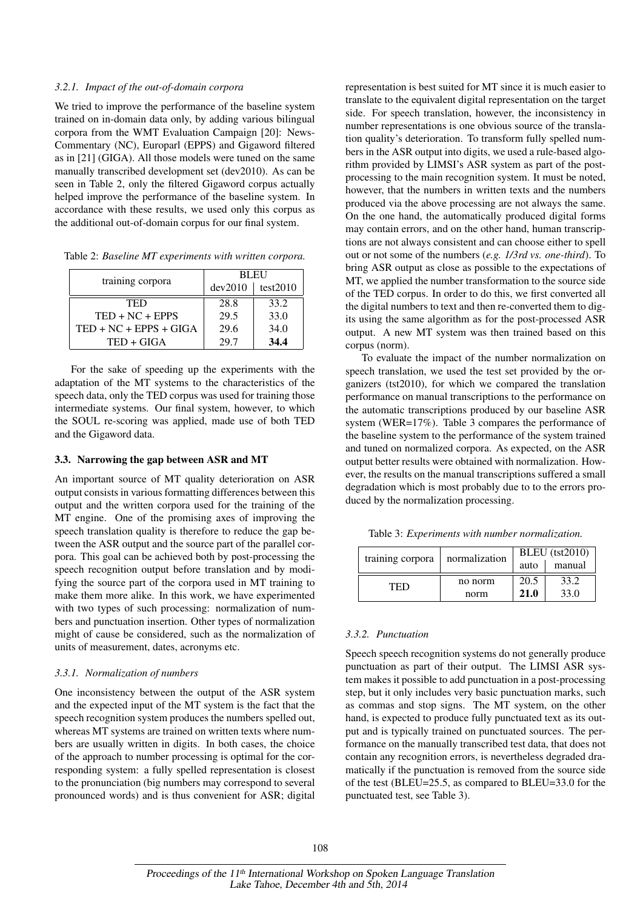### *3.2.1. Impact of the out-of-domain corpora*

We tried to improve the performance of the baseline system trained on in-domain data only, by adding various bilingual corpora from the WMT Evaluation Campaign [20]: News-Commentary (NC), Europarl (EPPS) and Gigaword filtered as in [21] (GIGA). All those models were tuned on the same manually transcribed development set (dev2010). As can be seen in Table 2, only the filtered Gigaword corpus actually helped improve the performance of the baseline system. In accordance with these results, we used only this corpus as the additional out-of-domain corpus for our final system.

Table 2: *Baseline MT experiments with written corpora.*

|                                              | <b>BLEU</b> |          |  |
|----------------------------------------------|-------------|----------|--|
| training corpora<br>TED<br>$TED + NC + EPPS$ | dev2010     | test2010 |  |
|                                              | 28.8        | 33.2     |  |
|                                              | 29.5        | 33.0     |  |
| $TED + NC + EPPS + GIGA$                     | 29.6        | 34.0     |  |
| TED + GIGA                                   | 29.7        | 34.4     |  |

For the sake of speeding up the experiments with the adaptation of the MT systems to the characteristics of the speech data, only the TED corpus was used for training those intermediate systems. Our final system, however, to which the SOUL re-scoring was applied, made use of both TED and the Gigaword data.

#### 3.3. Narrowing the gap between ASR and MT

An important source of MT quality deterioration on ASR output consists in various formatting differences between this output and the written corpora used for the training of the MT engine. One of the promising axes of improving the speech translation quality is therefore to reduce the gap between the ASR output and the source part of the parallel corpora. This goal can be achieved both by post-processing the speech recognition output before translation and by modifying the source part of the corpora used in MT training to make them more alike. In this work, we have experimented with two types of such processing: normalization of numbers and punctuation insertion. Other types of normalization might of cause be considered, such as the normalization of units of measurement, dates, acronyms etc.

#### *3.3.1. Normalization of numbers*

One inconsistency between the output of the ASR system and the expected input of the MT system is the fact that the speech recognition system produces the numbers spelled out, whereas MT systems are trained on written texts where numbers are usually written in digits. In both cases, the choice of the approach to number processing is optimal for the corresponding system: a fully spelled representation is closest to the pronunciation (big numbers may correspond to several pronounced words) and is thus convenient for ASR; digital

representation is best suited for MT since it is much easier to translate to the equivalent digital representation on the target side. For speech translation, however, the inconsistency in number representations is one obvious source of the translation quality's deterioration. To transform fully spelled numbers in the ASR output into digits, we used a rule-based algorithm provided by LIMSI's ASR system as part of the postprocessing to the main recognition system. It must be noted, however, that the numbers in written texts and the numbers produced via the above processing are not always the same. On the one hand, the automatically produced digital forms may contain errors, and on the other hand, human transcriptions are not always consistent and can choose either to spell out or not some of the numbers (*e.g. 1/3rd vs. one-third*). To bring ASR output as close as possible to the expectations of MT, we applied the number transformation to the source side of the TED corpus. In order to do this, we first converted all the digital numbers to text and then re-converted them to digits using the same algorithm as for the post-processed ASR output. A new MT system was then trained based on this corpus (norm).

To evaluate the impact of the number normalization on speech translation, we used the test set provided by the organizers (tst2010), for which we compared the translation performance on manual transcriptions to the performance on the automatic transcriptions produced by our baseline ASR system (WER=17%). Table 3 compares the performance of the baseline system to the performance of the system trained and tuned on normalized corpora. As expected, on the ASR output better results were obtained with normalization. However, the results on the manual transcriptions suffered a small degradation which is most probably due to to the errors produced by the normalization processing.

Table 3: *Experiments with number normalization.*

| training corpora | normalization | $BLEU$ (tst $2010$ ) |        |
|------------------|---------------|----------------------|--------|
|                  |               | auto                 | manual |
| TED              | no norm       | 20.5                 | 33.2   |
|                  | norm          | 21.0                 | 33.0   |

# *3.3.2. Punctuation*

Speech speech recognition systems do not generally produce punctuation as part of their output. The LIMSI ASR system makes it possible to add punctuation in a post-processing step, but it only includes very basic punctuation marks, such as commas and stop signs. The MT system, on the other hand, is expected to produce fully punctuated text as its output and is typically trained on punctuated sources. The performance on the manually transcribed test data, that does not contain any recognition errors, is nevertheless degraded dramatically if the punctuation is removed from the source side of the test (BLEU=25.5, as compared to BLEU=33.0 for the punctuated test, see Table 3).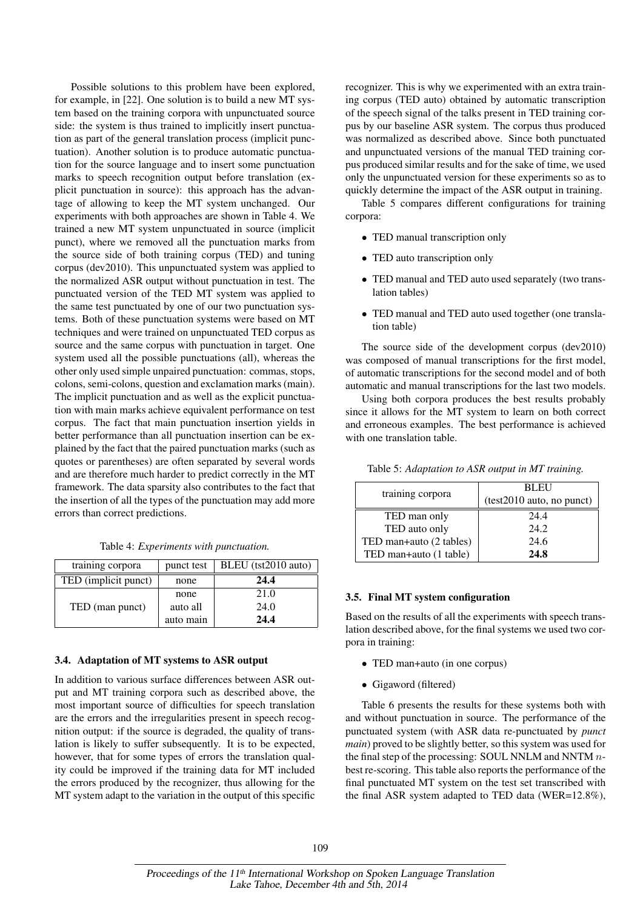Possible solutions to this problem have been explored, for example, in [22]. One solution is to build a new MT system based on the training corpora with unpunctuated source side: the system is thus trained to implicitly insert punctuation as part of the general translation process (implicit punctuation). Another solution is to produce automatic punctuation for the source language and to insert some punctuation marks to speech recognition output before translation (explicit punctuation in source): this approach has the advantage of allowing to keep the MT system unchanged. Our experiments with both approaches are shown in Table 4. We trained a new MT system unpunctuated in source (implicit punct), where we removed all the punctuation marks from the source side of both training corpus (TED) and tuning corpus (dev2010). This unpunctuated system was applied to the normalized ASR output without punctuation in test. The punctuated version of the TED MT system was applied to the same test punctuated by one of our two punctuation systems. Both of these punctuation systems were based on MT techniques and were trained on unpunctuated TED corpus as source and the same corpus with punctuation in target. One system used all the possible punctuations (all), whereas the other only used simple unpaired punctuation: commas, stops, colons, semi-colons, question and exclamation marks (main). The implicit punctuation and as well as the explicit punctuation with main marks achieve equivalent performance on test corpus. The fact that main punctuation insertion yields in better performance than all punctuation insertion can be explained by the fact that the paired punctuation marks (such as quotes or parentheses) are often separated by several words and are therefore much harder to predict correctly in the MT framework. The data sparsity also contributes to the fact that the insertion of all the types of the punctuation may add more errors than correct predictions.

|  | Table 4: Experiments with punctuation. |  |  |
|--|----------------------------------------|--|--|
|--|----------------------------------------|--|--|

| training corpora     | punct test | BLEU (tst2010 auto) |
|----------------------|------------|---------------------|
| TED (implicit punct) | none       | 24.4                |
|                      | none       | 21.0                |
| TED (man punct)      | auto all   | 24.0                |
|                      | auto main  | 24.4                |

## 3.4. Adaptation of MT systems to ASR output

In addition to various surface differences between ASR output and MT training corpora such as described above, the most important source of difficulties for speech translation are the errors and the irregularities present in speech recognition output: if the source is degraded, the quality of translation is likely to suffer subsequently. It is to be expected, however, that for some types of errors the translation quality could be improved if the training data for MT included the errors produced by the recognizer, thus allowing for the MT system adapt to the variation in the output of this specific

recognizer. This is why we experimented with an extra training corpus (TED auto) obtained by automatic transcription of the speech signal of the talks present in TED training corpus by our baseline ASR system. The corpus thus produced was normalized as described above. Since both punctuated and unpunctuated versions of the manual TED training corpus produced similar results and for the sake of time, we used only the unpunctuated version for these experiments so as to quickly determine the impact of the ASR output in training.

Table 5 compares different configurations for training corpora:

- TED manual transcription only
- TED auto transcription only
- TED manual and TED auto used separately (two translation tables)
- TED manual and TED auto used together (one translation table)

The source side of the development corpus (dev2010) was composed of manual transcriptions for the first model, of automatic transcriptions for the second model and of both automatic and manual transcriptions for the last two models.

Using both corpora produces the best results probably since it allows for the MT system to learn on both correct and erroneous examples. The best performance is achieved with one translation table.

|                         | <b>BLEU</b>               |  |
|-------------------------|---------------------------|--|
| training corpora        | (test2010 auto, no punct) |  |
| TED man only            | 24.4                      |  |
| TED auto only           | 24.2                      |  |
| TED man+auto (2 tables) | 24.6                      |  |
| TED man+auto (1 table)  | 24.8                      |  |

## 3.5. Final MT system configuration

Based on the results of all the experiments with speech translation described above, for the final systems we used two corpora in training:

- TED man+auto (in one corpus)
- Gigaword (filtered)

Table 6 presents the results for these systems both with and without punctuation in source. The performance of the punctuated system (with ASR data re-punctuated by *punct main*) proved to be slightly better, so this system was used for the final step of the processing: SOUL NNLM and NNTM  $n$ best re-scoring. This table also reports the performance of the final punctuated MT system on the test set transcribed with the final ASR system adapted to TED data (WER=12.8%),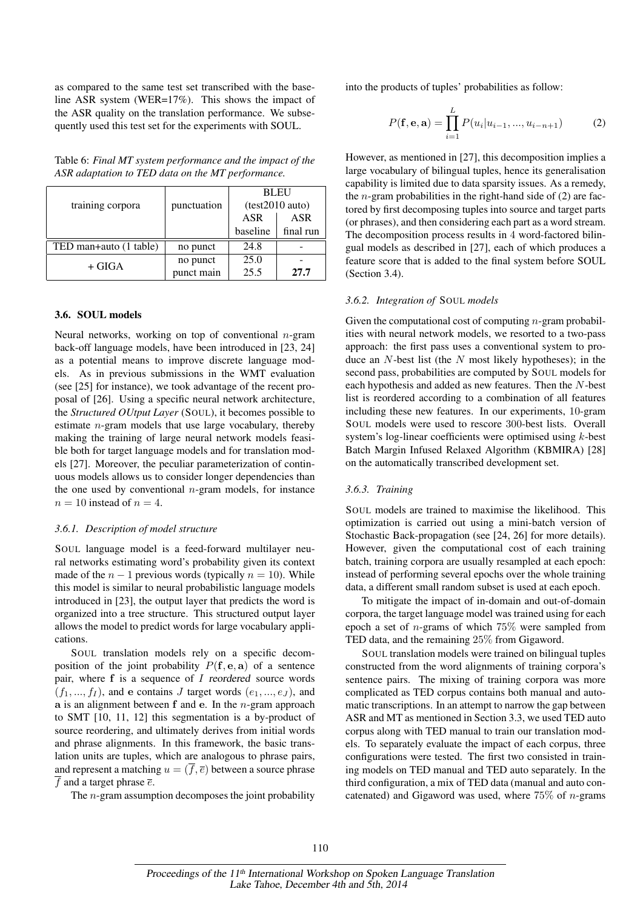as compared to the same test set transcribed with the baseline ASR system (WER=17%). This shows the impact of the ASR quality on the translation performance. We subsequently used this test set for the experiments with SOUL.

| training corpora       | punctuation | <b>BLEU</b><br>(test2010 auto) |            |
|------------------------|-------------|--------------------------------|------------|
|                        |             | <b>ASR</b>                     | <b>ASR</b> |
|                        |             | baseline                       | final run  |
| TED man+auto (1 table) | no punct    | 24.8                           |            |
| + GIGA                 | no punct    | 25.0                           |            |
|                        | punct main  | 25.5                           | 27.7       |

Table 6: *Final MT system performance and the impact of the ASR adaptation to TED data on the MT performance.*

## 3.6. SOUL models

Neural networks, working on top of conventional  $n$ -gram back-off language models, have been introduced in [23, 24] as a potential means to improve discrete language models. As in previous submissions in the WMT evaluation (see [25] for instance), we took advantage of the recent proposal of [26]. Using a specific neural network architecture, the *Structured OUtput Layer* (SOUL), it becomes possible to estimate n-gram models that use large vocabulary, thereby making the training of large neural network models feasible both for target language models and for translation models [27]. Moreover, the peculiar parameterization of continuous models allows us to consider longer dependencies than the one used by conventional  $n$ -gram models, for instance  $n = 10$  instead of  $n = 4$ .

#### *3.6.1. Description of model structure*

SOUL language model is a feed-forward multilayer neural networks estimating word's probability given its context made of the  $n - 1$  previous words (typically  $n = 10$ ). While this model is similar to neural probabilistic language models introduced in [23], the output layer that predicts the word is organized into a tree structure. This structured output layer allows the model to predict words for large vocabulary applications.

SOUL translation models rely on a specific decomposition of the joint probability  $P(f, e, a)$  of a sentence pair, where  $f$  is a sequence of  $I$  reordered source words  $(f_1, ..., f_I)$ , and e contains J target words  $(e_1, ..., e_J)$ , and a is an alignment between  $f$  and  $e$ . In the *n*-gram approach to SMT [10, 11, 12] this segmentation is a by-product of source reordering, and ultimately derives from initial words and phrase alignments. In this framework, the basic translation units are tuples, which are analogous to phrase pairs, and represent a matching  $u = (\overline{f}, \overline{e})$  between a source phrase  $\overline{f}$  and a target phrase  $\overline{e}$ .

The  $n$ -gram assumption decomposes the joint probability

into the products of tuples' probabilities as follow:

$$
P(\mathbf{f}, \mathbf{e}, \mathbf{a}) = \prod_{i=1}^{L} P(u_i | u_{i-1}, ..., u_{i-n+1})
$$
 (2)

However, as mentioned in [27], this decomposition implies a large vocabulary of bilingual tuples, hence its generalisation capability is limited due to data sparsity issues. As a remedy, the *n*-gram probabilities in the right-hand side of  $(2)$  are factored by first decomposing tuples into source and target parts (or phrases), and then considering each part as a word stream. The decomposition process results in 4 word-factored bilingual models as described in [27], each of which produces a feature score that is added to the final system before SOUL (Section 3.4).

#### *3.6.2. Integration of* SOUL *models*

Given the computational cost of computing  $n$ -gram probabilities with neural network models, we resorted to a two-pass approach: the first pass uses a conventional system to produce an  $N$ -best list (the  $N$  most likely hypotheses); in the second pass, probabilities are computed by SOUL models for each hypothesis and added as new features. Then the N-best list is reordered according to a combination of all features including these new features. In our experiments, 10-gram SOUL models were used to rescore 300-best lists. Overall system's log-linear coefficients were optimised using k-best Batch Margin Infused Relaxed Algorithm (KBMIRA) [28] on the automatically transcribed development set.

#### *3.6.3. Training*

SOUL models are trained to maximise the likelihood. This optimization is carried out using a mini-batch version of Stochastic Back-propagation (see [24, 26] for more details). However, given the computational cost of each training batch, training corpora are usually resampled at each epoch: instead of performing several epochs over the whole training data, a different small random subset is used at each epoch.

To mitigate the impact of in-domain and out-of-domain corpora, the target language model was trained using for each epoch a set of *n*-grams of which  $75\%$  were sampled from TED data, and the remaining 25% from Gigaword.

SOUL translation models were trained on bilingual tuples constructed from the word alignments of training corpora's sentence pairs. The mixing of training corpora was more complicated as TED corpus contains both manual and automatic transcriptions. In an attempt to narrow the gap between ASR and MT as mentioned in Section 3.3, we used TED auto corpus along with TED manual to train our translation models. To separately evaluate the impact of each corpus, three configurations were tested. The first two consisted in training models on TED manual and TED auto separately. In the third configuration, a mix of TED data (manual and auto concatenated) and Gigaword was used, where  $75\%$  of *n*-grams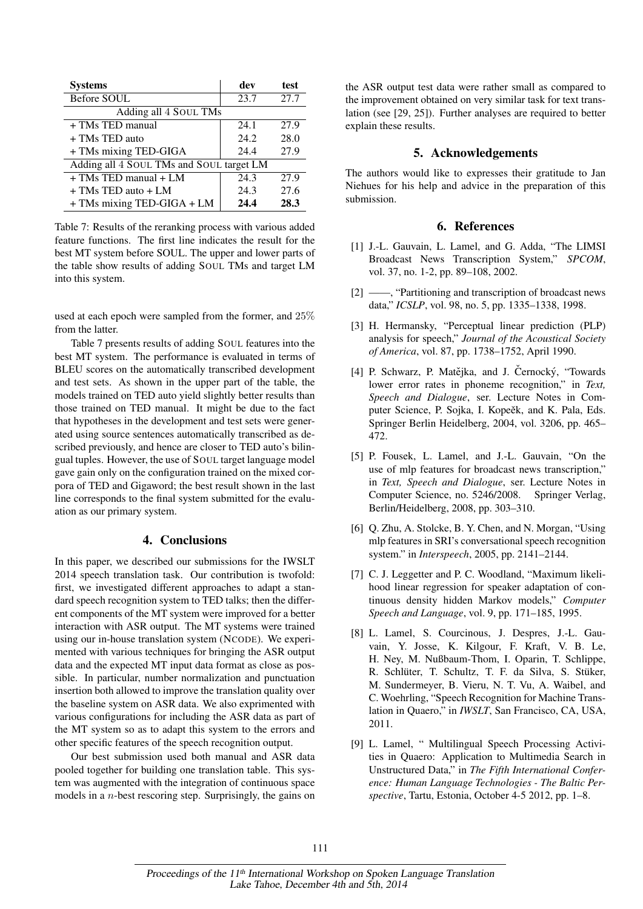| <b>Systems</b>                           | dev  | test |
|------------------------------------------|------|------|
| Before SOUL                              | 23.7 | 27.7 |
| Adding all 4 SOUL TMs                    |      |      |
| + TMs TED manual                         | 24.1 | 27.9 |
| + TMs TED auto                           | 24.2 | 28.0 |
| + TMs mixing TED-GIGA                    | 24.4 | 27.9 |
| Adding all 4 SOUL TMs and SOUL target LM |      |      |
| $+$ TMs TED manual $+$ LM                | 24.3 | 27.9 |
| $+$ TMs TED auto $+$ LM                  | 24.3 | 27.6 |
| + TMs mixing TED-GIGA + LM               | 24.4 | 28.3 |

Table 7: Results of the reranking process with various added feature functions. The first line indicates the result for the best MT system before SOUL. The upper and lower parts of the table show results of adding SOUL TMs and target LM into this system.

used at each epoch were sampled from the former, and 25% from the latter.

Table 7 presents results of adding SOUL features into the best MT system. The performance is evaluated in terms of BLEU scores on the automatically transcribed development and test sets. As shown in the upper part of the table, the models trained on TED auto yield slightly better results than those trained on TED manual. It might be due to the fact that hypotheses in the development and test sets were generated using source sentences automatically transcribed as described previously, and hence are closer to TED auto's bilingual tuples. However, the use of SOUL target language model gave gain only on the configuration trained on the mixed corpora of TED and Gigaword; the best result shown in the last line corresponds to the final system submitted for the evaluation as our primary system.

# 4. Conclusions

In this paper, we described our submissions for the IWSLT 2014 speech translation task. Our contribution is twofold: first, we investigated different approaches to adapt a standard speech recognition system to TED talks; then the different components of the MT system were improved for a better interaction with ASR output. The MT systems were trained using our in-house translation system (NCODE). We experimented with various techniques for bringing the ASR output data and the expected MT input data format as close as possible. In particular, number normalization and punctuation insertion both allowed to improve the translation quality over the baseline system on ASR data. We also exprimented with various configurations for including the ASR data as part of the MT system so as to adapt this system to the errors and other specific features of the speech recognition output.

Our best submission used both manual and ASR data pooled together for building one translation table. This system was augmented with the integration of continuous space models in a  $n$ -best rescoring step. Surprisingly, the gains on the ASR output test data were rather small as compared to the improvement obtained on very similar task for text translation (see [29, 25]). Further analyses are required to better explain these results.

# 5. Acknowledgements

The authors would like to expresses their gratitude to Jan Niehues for his help and advice in the preparation of this submission.

# 6. References

- [1] J.-L. Gauvain, L. Lamel, and G. Adda, "The LIMSI Broadcast News Transcription System," *SPCOM*, vol. 37, no. 1-2, pp. 89–108, 2002.
- [2] ——, "Partitioning and transcription of broadcast news data," *ICSLP*, vol. 98, no. 5, pp. 1335–1338, 1998.
- [3] H. Hermansky, "Perceptual linear prediction (PLP) analysis for speech," *Journal of the Acoustical Society of America*, vol. 87, pp. 1738–1752, April 1990.
- [4] P. Schwarz, P. Matějka, and J. Černocký, "Towards lower error rates in phoneme recognition," in *Text, Speech and Dialogue*, ser. Lecture Notes in Computer Science, P. Sojka, I. Kopeěk, and K. Pala, Eds. Springer Berlin Heidelberg, 2004, vol. 3206, pp. 465– 472.
- [5] P. Fousek, L. Lamel, and J.-L. Gauvain, "On the use of mlp features for broadcast news transcription," in *Text, Speech and Dialogue*, ser. Lecture Notes in Computer Science, no. 5246/2008. Springer Verlag, Berlin/Heidelberg, 2008, pp. 303–310.
- [6] Q. Zhu, A. Stolcke, B. Y. Chen, and N. Morgan, "Using mlp features in SRI's conversational speech recognition system." in *Interspeech*, 2005, pp. 2141–2144.
- [7] C. J. Leggetter and P. C. Woodland, "Maximum likelihood linear regression for speaker adaptation of continuous density hidden Markov models," *Computer Speech and Language*, vol. 9, pp. 171–185, 1995.
- [8] L. Lamel, S. Courcinous, J. Despres, J.-L. Gauvain, Y. Josse, K. Kilgour, F. Kraft, V. B. Le, H. Ney, M. Nußbaum-Thom, I. Oparin, T. Schlippe, R. Schlüter, T. Schultz, T. F. da Silva, S. Stüker, M. Sundermeyer, B. Vieru, N. T. Vu, A. Waibel, and C. Woehrling, "Speech Recognition for Machine Translation in Quaero," in *IWSLT*, San Francisco, CA, USA, 2011.
- [9] L. Lamel, " Multilingual Speech Processing Activities in Quaero: Application to Multimedia Search in Unstructured Data," in *The Fifth International Conference: Human Language Technologies - The Baltic Perspective*, Tartu, Estonia, October 4-5 2012, pp. 1–8.